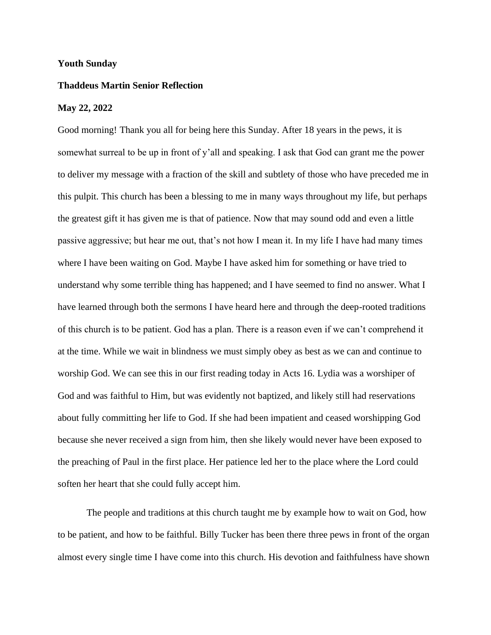## **Youth Sunday**

## **Thaddeus Martin Senior Reflection**

## **May 22, 2022**

Good morning! Thank you all for being here this Sunday. After 18 years in the pews, it is somewhat surreal to be up in front of y'all and speaking. I ask that God can grant me the power to deliver my message with a fraction of the skill and subtlety of those who have preceded me in this pulpit. This church has been a blessing to me in many ways throughout my life, but perhaps the greatest gift it has given me is that of patience. Now that may sound odd and even a little passive aggressive; but hear me out, that's not how I mean it. In my life I have had many times where I have been waiting on God. Maybe I have asked him for something or have tried to understand why some terrible thing has happened; and I have seemed to find no answer. What I have learned through both the sermons I have heard here and through the deep-rooted traditions of this church is to be patient. God has a plan. There is a reason even if we can't comprehend it at the time. While we wait in blindness we must simply obey as best as we can and continue to worship God. We can see this in our first reading today in Acts 16. Lydia was a worshiper of God and was faithful to Him, but was evidently not baptized, and likely still had reservations about fully committing her life to God. If she had been impatient and ceased worshipping God because she never received a sign from him, then she likely would never have been exposed to the preaching of Paul in the first place. Her patience led her to the place where the Lord could soften her heart that she could fully accept him.

The people and traditions at this church taught me by example how to wait on God, how to be patient, and how to be faithful. Billy Tucker has been there three pews in front of the organ almost every single time I have come into this church. His devotion and faithfulness have shown